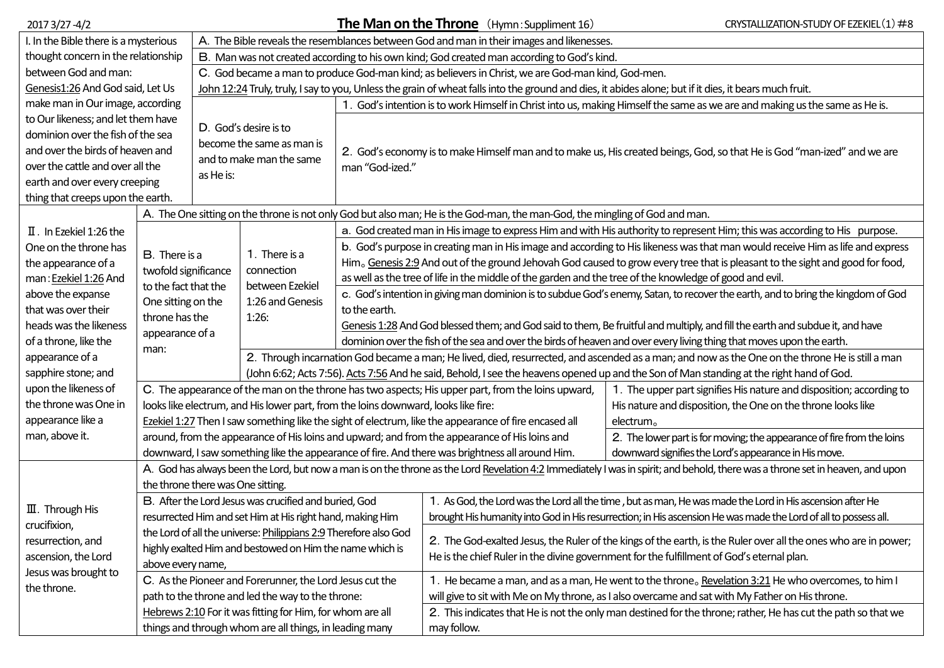| 2017 3/27 -4/2                                             |                                                                                                                                                                                |                                                                                                                                                        |                                                                                                                                                 | <b>The Man on the Throne</b> $(Hymn:Suppliment 16)$                                                                              | CRYSTALLIZATION-STUDY OF EZEKIEL (1) #8                                                                                                            |                                                                        |  |  |  |  |  |
|------------------------------------------------------------|--------------------------------------------------------------------------------------------------------------------------------------------------------------------------------|--------------------------------------------------------------------------------------------------------------------------------------------------------|-------------------------------------------------------------------------------------------------------------------------------------------------|----------------------------------------------------------------------------------------------------------------------------------|----------------------------------------------------------------------------------------------------------------------------------------------------|------------------------------------------------------------------------|--|--|--|--|--|
| I. In the Bible there is a mysterious                      |                                                                                                                                                                                | A. The Bible reveals the resemblances between God and man in their images and likenesses.                                                              |                                                                                                                                                 |                                                                                                                                  |                                                                                                                                                    |                                                                        |  |  |  |  |  |
| thought concern in the relationship                        |                                                                                                                                                                                | B. Man was not created according to his own kind; God created man according to God's kind.                                                             |                                                                                                                                                 |                                                                                                                                  |                                                                                                                                                    |                                                                        |  |  |  |  |  |
| between God and man:                                       |                                                                                                                                                                                | C. God became a man to produce God-man kind; as believers in Christ, we are God-man kind, God-men.                                                     |                                                                                                                                                 |                                                                                                                                  |                                                                                                                                                    |                                                                        |  |  |  |  |  |
| Genesis1:26 And God said, Let Us                           |                                                                                                                                                                                | John 12:24 Truly, truly, I say to you, Unless the grain of wheat falls into the ground and dies, it abides alone; but if it dies, it bears much fruit. |                                                                                                                                                 |                                                                                                                                  |                                                                                                                                                    |                                                                        |  |  |  |  |  |
| make man in Our image, according                           |                                                                                                                                                                                |                                                                                                                                                        |                                                                                                                                                 | God's intention is to work Himself in Christ into us, making Himself the same as we are and making us the same as He is.         |                                                                                                                                                    |                                                                        |  |  |  |  |  |
| to Our likeness; and let them have                         |                                                                                                                                                                                | D. God's desire is to                                                                                                                                  |                                                                                                                                                 |                                                                                                                                  |                                                                                                                                                    |                                                                        |  |  |  |  |  |
| dominion over the fish of the sea                          |                                                                                                                                                                                | become the same as man is                                                                                                                              |                                                                                                                                                 | 2. God's economy is to make Himself man and to make us, His created beings, God, so that He is God "man-ized" and we are         |                                                                                                                                                    |                                                                        |  |  |  |  |  |
| and over the birds of heaven and                           |                                                                                                                                                                                | and to make man the same                                                                                                                               |                                                                                                                                                 |                                                                                                                                  |                                                                                                                                                    |                                                                        |  |  |  |  |  |
| over the cattle and over all the                           |                                                                                                                                                                                | as He is:                                                                                                                                              |                                                                                                                                                 | man "God-ized."                                                                                                                  |                                                                                                                                                    |                                                                        |  |  |  |  |  |
|                                                            | earth and over every creeping                                                                                                                                                  |                                                                                                                                                        |                                                                                                                                                 |                                                                                                                                  |                                                                                                                                                    |                                                                        |  |  |  |  |  |
| thing that creeps upon the earth.                          |                                                                                                                                                                                |                                                                                                                                                        |                                                                                                                                                 |                                                                                                                                  |                                                                                                                                                    |                                                                        |  |  |  |  |  |
|                                                            |                                                                                                                                                                                |                                                                                                                                                        |                                                                                                                                                 | A. The One sitting on the throne is not only God but also man; He is the God-man, the man-God, the mingling of God and man.      |                                                                                                                                                    |                                                                        |  |  |  |  |  |
| II. In Ezekiel 1:26 the                                    |                                                                                                                                                                                |                                                                                                                                                        | 1. There is a<br>connection                                                                                                                     | a. God created man in His image to express Him and with His authority to represent Him; this was according to His purpose.       |                                                                                                                                                    |                                                                        |  |  |  |  |  |
| One on the throne has                                      | B. There is a                                                                                                                                                                  |                                                                                                                                                        |                                                                                                                                                 | b. God's purpose in creating man in His image and according to His likeness was that man would receive Him as life and express   |                                                                                                                                                    |                                                                        |  |  |  |  |  |
| the appearance of a                                        |                                                                                                                                                                                |                                                                                                                                                        |                                                                                                                                                 | Him. Genesis 2:9 And out of the ground Jehovah God caused to grow every tree that is pleasant to the sight and good for food,    |                                                                                                                                                    |                                                                        |  |  |  |  |  |
| man: Ezekiel 1:26 And                                      | twofold significance<br>to the fact that the<br>One sitting on the                                                                                                             |                                                                                                                                                        | between Ezekiel                                                                                                                                 | as well as the tree of life in the middle of the garden and the tree of the knowledge of good and evil.                          |                                                                                                                                                    |                                                                        |  |  |  |  |  |
| above the expanse                                          |                                                                                                                                                                                |                                                                                                                                                        | 1:26 and Genesis                                                                                                                                | c. God's intention in giving man dominion is to subdue God's enemy, Satan, to recover the earth, and to bring the kingdom of God |                                                                                                                                                    |                                                                        |  |  |  |  |  |
| that was over their                                        | throne has the                                                                                                                                                                 |                                                                                                                                                        | 1:26:                                                                                                                                           | to the earth.                                                                                                                    |                                                                                                                                                    |                                                                        |  |  |  |  |  |
| heads was the likeness                                     |                                                                                                                                                                                |                                                                                                                                                        |                                                                                                                                                 | Genesis 1:28 And God blessed them; and God said to them, Be fruitful and multiply, and fill the earth and subdue it, and have    |                                                                                                                                                    |                                                                        |  |  |  |  |  |
| of a throne, like the                                      | appearance of a<br>man:                                                                                                                                                        |                                                                                                                                                        |                                                                                                                                                 | dominion over the fish of the sea and over the birds of heaven and over every living thing that moves upon the earth.            |                                                                                                                                                    |                                                                        |  |  |  |  |  |
| appearance of a                                            |                                                                                                                                                                                |                                                                                                                                                        | 2. Through incarnation God became a man; He lived, died, resurrected, and ascended as a man; and now as the One on the throne He is still a man |                                                                                                                                  |                                                                                                                                                    |                                                                        |  |  |  |  |  |
| sapphire stone; and                                        |                                                                                                                                                                                |                                                                                                                                                        | (John 6:62; Acts 7:56). Acts 7:56 And he said, Behold, I see the heavens opened up and the Son of Man standing at the right hand of God.        |                                                                                                                                  |                                                                                                                                                    |                                                                        |  |  |  |  |  |
| upon the likeness of                                       |                                                                                                                                                                                |                                                                                                                                                        |                                                                                                                                                 |                                                                                                                                  | C. The appearance of the man on the throne has two aspects; His upper part, from the loins upward,                                                 | 1. The upper part signifies His nature and disposition; according to   |  |  |  |  |  |
| the throne was One in                                      |                                                                                                                                                                                |                                                                                                                                                        |                                                                                                                                                 |                                                                                                                                  | looks like electrum, and His lower part, from the loins downward, looks like fire:<br>His nature and disposition, the One on the throne looks like |                                                                        |  |  |  |  |  |
| appearance like a                                          |                                                                                                                                                                                | Ezekiel 1:27 Then I saw something like the sight of electrum, like the appearance of fire encased all<br>electrum <sub>o</sub>                         |                                                                                                                                                 |                                                                                                                                  |                                                                                                                                                    |                                                                        |  |  |  |  |  |
| man, above it.                                             |                                                                                                                                                                                |                                                                                                                                                        |                                                                                                                                                 | around, from the appearance of His loins and upward; and from the appearance of His loins and                                    |                                                                                                                                                    | 2. The lower part is for moving; the appearance of fire from the loins |  |  |  |  |  |
|                                                            |                                                                                                                                                                                |                                                                                                                                                        |                                                                                                                                                 |                                                                                                                                  | downward, I saw something like the appearance of fire. And there was brightness all around Him.                                                    | downward signifies the Lord's appearance in His move.                  |  |  |  |  |  |
|                                                            | A. God has always been the Lord, but now a man is on the throne as the Lord Revelation 4:2 Immediately I was in spirit; and behold, there was a throne set in heaven, and upon |                                                                                                                                                        |                                                                                                                                                 |                                                                                                                                  |                                                                                                                                                    |                                                                        |  |  |  |  |  |
|                                                            | the throne there was One sitting.                                                                                                                                              |                                                                                                                                                        |                                                                                                                                                 |                                                                                                                                  |                                                                                                                                                    |                                                                        |  |  |  |  |  |
| $\overline{\mathbf{m}}$ . Through His                      |                                                                                                                                                                                |                                                                                                                                                        | B. After the Lord Jesus was crucified and buried, God                                                                                           |                                                                                                                                  | 1. As God, the Lord was the Lord all the time, but as man, He was made the Lord in His ascension after He                                          |                                                                        |  |  |  |  |  |
| crucifixion,                                               |                                                                                                                                                                                |                                                                                                                                                        | resurrected Him and set Him at His right hand, making Him                                                                                       |                                                                                                                                  | brought His humanity into God in His resurrection; in His ascension He was made the Lord of all to possess all.                                    |                                                                        |  |  |  |  |  |
| resurrection, and                                          |                                                                                                                                                                                |                                                                                                                                                        | the Lord of all the universe: Philippians 2:9 Therefore also God                                                                                |                                                                                                                                  | 2. The God-exalted Jesus, the Ruler of the kings of the earth, is the Ruler over all the ones who are in power;                                    |                                                                        |  |  |  |  |  |
| ascension, the Lord<br>Jesus was brought to<br>the throne. |                                                                                                                                                                                |                                                                                                                                                        | highly exalted Him and bestowed on Him the name which is                                                                                        |                                                                                                                                  |                                                                                                                                                    |                                                                        |  |  |  |  |  |
|                                                            | above every name,                                                                                                                                                              |                                                                                                                                                        |                                                                                                                                                 |                                                                                                                                  | He is the chief Ruler in the divine government for the fulfillment of God's eternal plan.                                                          |                                                                        |  |  |  |  |  |
|                                                            |                                                                                                                                                                                |                                                                                                                                                        | C. As the Pioneer and Forerunner, the Lord Jesus cut the                                                                                        |                                                                                                                                  | 1. He became a man, and as a man, He went to the throne, Revelation 3:21 He who overcomes, to him I                                                |                                                                        |  |  |  |  |  |
|                                                            |                                                                                                                                                                                |                                                                                                                                                        | path to the throne and led the way to the throne:                                                                                               |                                                                                                                                  | will give to sit with Me on My throne, as I also overcame and sat with My Father on His throne.                                                    |                                                                        |  |  |  |  |  |
|                                                            |                                                                                                                                                                                |                                                                                                                                                        | Hebrews 2:10 For it was fitting for Him, for whom are all                                                                                       |                                                                                                                                  | 2. This indicates that He is not the only man destined for the throne; rather, He has cut the path so that we                                      |                                                                        |  |  |  |  |  |
|                                                            |                                                                                                                                                                                |                                                                                                                                                        | things and through whom are all things, in leading many                                                                                         |                                                                                                                                  | may follow.                                                                                                                                        |                                                                        |  |  |  |  |  |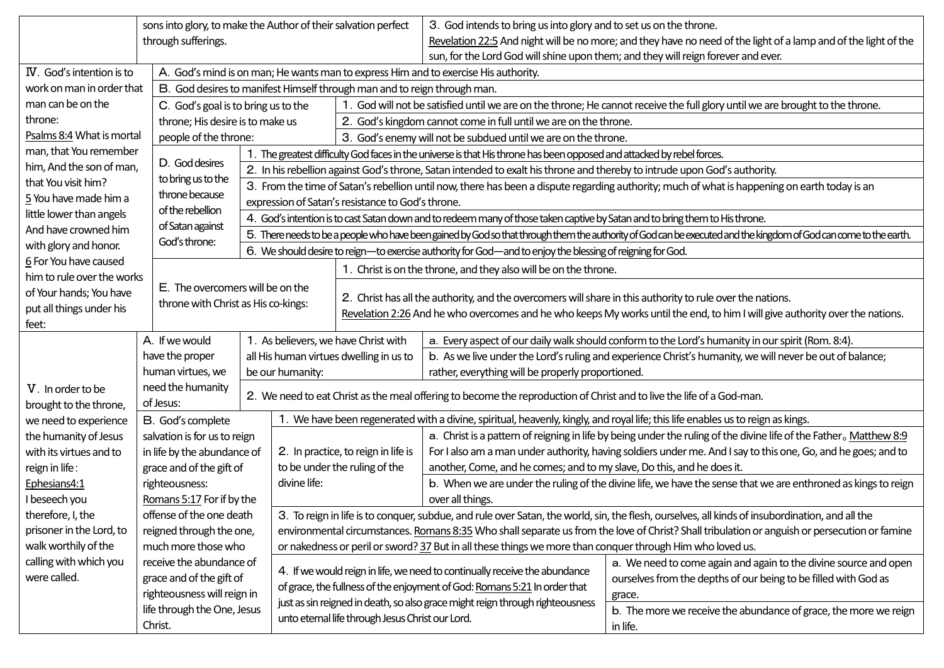|                                             | sons into glory, to make the Author of their salvation perfect |                                                                                                     |                                                                                                                                                                   |                                                                  | 3. God intends to bring us into glory and to set us on the throne.                                                                                      |                                                                  |  |  |  |
|---------------------------------------------|----------------------------------------------------------------|-----------------------------------------------------------------------------------------------------|-------------------------------------------------------------------------------------------------------------------------------------------------------------------|------------------------------------------------------------------|---------------------------------------------------------------------------------------------------------------------------------------------------------|------------------------------------------------------------------|--|--|--|
|                                             | through sufferings.                                            |                                                                                                     |                                                                                                                                                                   |                                                                  | Revelation 22:5 And night will be no more; and they have no need of the light of a lamp and of the light of the                                         |                                                                  |  |  |  |
|                                             |                                                                |                                                                                                     |                                                                                                                                                                   |                                                                  | sun, for the Lord God will shine upon them; and they will reign forever and ever.                                                                       |                                                                  |  |  |  |
| IV. God's intention is to                   |                                                                |                                                                                                     | A. God's mind is on man; He wants man to express Him and to exercise His authority.                                                                               |                                                                  |                                                                                                                                                         |                                                                  |  |  |  |
| work on man in order that                   |                                                                |                                                                                                     | B. God desires to manifest Himself through man and to reign through man.                                                                                          |                                                                  |                                                                                                                                                         |                                                                  |  |  |  |
| man can be on the                           |                                                                | C. God's goal is to bring us to the                                                                 |                                                                                                                                                                   |                                                                  | 1. God will not be satisfied until we are on the throne; He cannot receive the full glory until we are brought to the throne.                           |                                                                  |  |  |  |
| throne:                                     | throne; His desire is to make us                               |                                                                                                     |                                                                                                                                                                   | 2. God's kingdom cannot come in full until we are on the throne. |                                                                                                                                                         |                                                                  |  |  |  |
| Psalms 8:4 What is mortal                   | people of the throne:                                          |                                                                                                     | 3. God's enemy will not be subdued until we are on the throne.                                                                                                    |                                                                  |                                                                                                                                                         |                                                                  |  |  |  |
| man, that You remember                      |                                                                |                                                                                                     | 1. The greatest difficulty God faces in the universe is that His throne has been opposed and attacked by rebel forces.                                            |                                                                  |                                                                                                                                                         |                                                                  |  |  |  |
| him, And the son of man,                    | D. God desires                                                 |                                                                                                     | 2. In his rebellion against God's throne, Satan intended to exalt his throne and thereby to intrude upon God's authority.                                         |                                                                  |                                                                                                                                                         |                                                                  |  |  |  |
| that You visit him?                         | to bring us to the                                             |                                                                                                     | 3. From the time of Satan's rebellion until now, there has been a dispute regarding authority; much of what is happening on earth today is an                     |                                                                  |                                                                                                                                                         |                                                                  |  |  |  |
| 5 You have made him a                       | throne because                                                 |                                                                                                     | expression of Satan's resistance to God's throne.                                                                                                                 |                                                                  |                                                                                                                                                         |                                                                  |  |  |  |
| little lower than angels                    | of the rebellion                                               |                                                                                                     | 4. God's intention is to cast Satan down and to redeem many of those taken captive by Satan and to bring them to His throne.                                      |                                                                  |                                                                                                                                                         |                                                                  |  |  |  |
| And have crowned him                        | of Satan against                                               |                                                                                                     | 5. There needs to be a people who have been gained by God so that through them the authority of God can be executed and the kingdom of God can come to the earth. |                                                                  |                                                                                                                                                         |                                                                  |  |  |  |
| with glory and honor.                       | God's throne:                                                  |                                                                                                     | 6. We should desire to reign-to exercise authority for God-and to enjoy the blessing of reigning for God.                                                         |                                                                  |                                                                                                                                                         |                                                                  |  |  |  |
| 6 For You have caused                       |                                                                |                                                                                                     |                                                                                                                                                                   |                                                                  | 1. Christ is on the throne, and they also will be on the throne.                                                                                        |                                                                  |  |  |  |
| him to rule over the works                  | E. The overcomers will be on the                               |                                                                                                     |                                                                                                                                                                   |                                                                  |                                                                                                                                                         |                                                                  |  |  |  |
| of Your hands; You have                     |                                                                | throne with Christ as His co-kings:                                                                 |                                                                                                                                                                   |                                                                  | 2. Christ has all the authority, and the overcomers will share in this authority to rule over the nations.                                              |                                                                  |  |  |  |
| put all things under his                    |                                                                |                                                                                                     |                                                                                                                                                                   |                                                                  | Revelation 2:26 And he who overcomes and he who keeps My works until the end, to him I will give authority over the nations.                            |                                                                  |  |  |  |
| feet:                                       |                                                                |                                                                                                     |                                                                                                                                                                   |                                                                  |                                                                                                                                                         |                                                                  |  |  |  |
|                                             | A. If we would                                                 | 1. As believers, we have Christ with<br>all His human virtues dwelling in us to<br>be our humanity: |                                                                                                                                                                   |                                                                  | a. Every aspect of our daily walk should conform to the Lord's humanity in our spirit (Rom. 8:4).                                                       |                                                                  |  |  |  |
|                                             | have the proper                                                |                                                                                                     |                                                                                                                                                                   |                                                                  | b. As we live under the Lord's ruling and experience Christ's humanity, we will never be out of balance;                                                |                                                                  |  |  |  |
|                                             | human virtues, we                                              |                                                                                                     |                                                                                                                                                                   |                                                                  | rather, everything will be properly proportioned.                                                                                                       |                                                                  |  |  |  |
| V. In order to be<br>brought to the throne, | need the humanity<br>of Jesus:                                 |                                                                                                     | 2. We need to eat Christ as the meal offering to become the reproduction of Christ and to live the life of a God-man.                                             |                                                                  |                                                                                                                                                         |                                                                  |  |  |  |
| we need to experience                       | B. God's complete                                              |                                                                                                     | 1. We have been regenerated with a divine, spiritual, heavenly, kingly, and royal life; this life enables us to reign as kings.                                   |                                                                  |                                                                                                                                                         |                                                                  |  |  |  |
| the humanity of Jesus                       | salvation is for us to reign                                   |                                                                                                     |                                                                                                                                                                   |                                                                  | a. Christ is a pattern of reigning in life by being under the ruling of the divine life of the Father. Matthew 8:9                                      |                                                                  |  |  |  |
| with its virtues and to                     | in life by the abundance of                                    |                                                                                                     |                                                                                                                                                                   | 2. In practice, to reign in life is                              | For I also am a man under authority, having soldiers under me. And I say to this one, Go, and he goes; and to                                           |                                                                  |  |  |  |
| reign in life:                              | grace and of the gift of                                       |                                                                                                     | to be under the ruling of the                                                                                                                                     |                                                                  | another, Come, and he comes; and to my slave, Do this, and he does it.                                                                                  |                                                                  |  |  |  |
| Ephesians4:1                                | righteousness:                                                 |                                                                                                     | divine life:                                                                                                                                                      |                                                                  | b. When we are under the ruling of the divine life, we have the sense that we are enthroned as kings to reign                                           |                                                                  |  |  |  |
| I beseech you                               | Romans 5:17 For if by the                                      |                                                                                                     |                                                                                                                                                                   |                                                                  | over all things.                                                                                                                                        |                                                                  |  |  |  |
| therefore, I, the                           | offense of the one death                                       |                                                                                                     | 3. To reign in life is to conquer, subdue, and rule over Satan, the world, sin, the flesh, ourselves, all kinds of insubordination, and all the                   |                                                                  |                                                                                                                                                         |                                                                  |  |  |  |
| prisoner in the Lord, to                    | reigned through the one,                                       |                                                                                                     | environmental circumstances. Romans 8:35 Who shall separate us from the love of Christ? Shall tribulation or anguish or persecution or famine                     |                                                                  |                                                                                                                                                         |                                                                  |  |  |  |
| walk worthily of the                        | much more those who                                            |                                                                                                     | or nakedness or peril or sword? 37 But in all these things we more than conquer through Him who loved us.                                                         |                                                                  |                                                                                                                                                         |                                                                  |  |  |  |
| calling with which you                      | receive the abundance of                                       |                                                                                                     |                                                                                                                                                                   |                                                                  |                                                                                                                                                         | a. We need to come again and again to the divine source and open |  |  |  |
| were called.                                |                                                                | grace and of the gift of                                                                            |                                                                                                                                                                   |                                                                  | 4. If we would reign in life, we need to continually receive the abundance<br>of grace, the fullness of the enjoyment of God: Romans 5:21 In order that | ourselves from the depths of our being to be filled with God as  |  |  |  |
|                                             | righteousness will reign in                                    |                                                                                                     | just as sin reigned in death, so also grace might reign through righteousness<br>unto eternal life through Jesus Christ our Lord.                                 |                                                                  |                                                                                                                                                         | grace.                                                           |  |  |  |
|                                             | life through the One, Jesus                                    |                                                                                                     |                                                                                                                                                                   |                                                                  |                                                                                                                                                         | b. The more we receive the abundance of grace, the more we reign |  |  |  |
|                                             | Christ.                                                        |                                                                                                     |                                                                                                                                                                   |                                                                  |                                                                                                                                                         | in life.                                                         |  |  |  |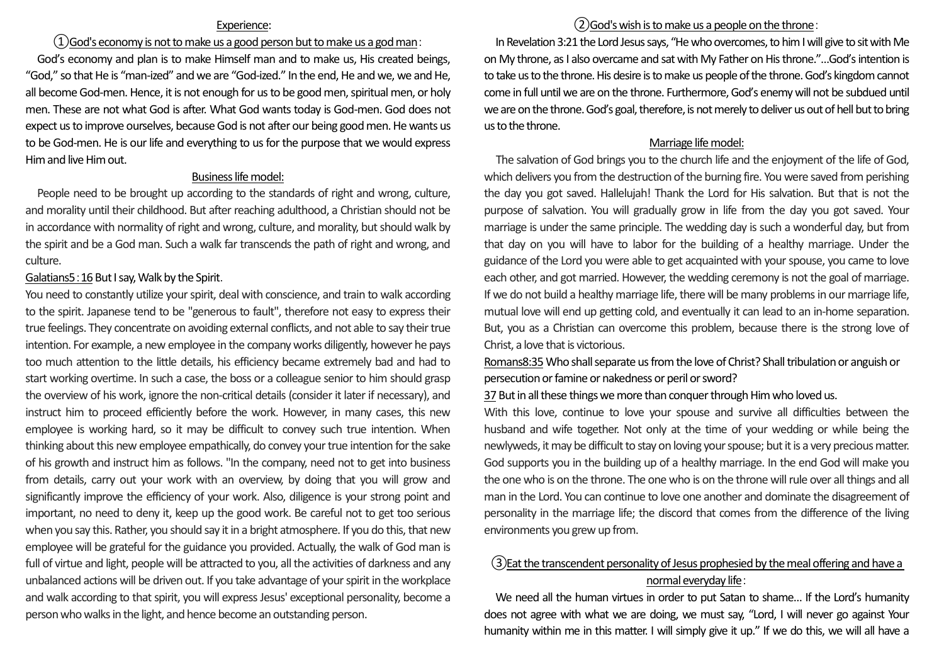### Experience:

## $\Omega$  God's economy is not to make us a good person but to make us a god man:

God's economy and plan is to make Himself man and to make us, His created beings, "God," so that He is "man-ized" and we are "God-ized." In the end, He and we, we and He, all become God-men. Hence, it is not enough for us to be good men, spiritual men, or holy men. These are not what God is after. What God wants today is God-men. God does not expect us to improve ourselves, because God is not after our being good men. He wants us to be God-men. He is our life and everything to us for the purpose that we would express Him and live Him out.

### Business life model:

People need to be brought up according to the standards of right and wrong, culture, and morality until their childhood. But after reaching adulthood, a Christian should not be in accordance with normality of right and wrong, culture, and morality, but should walk by the spirit and be a God man. Such a walk far transcends the path of right and wrong, and culture.

### Galatians5:16 But I say, Walk by the Spirit.

You need to constantly utilize your spirit, deal with conscience, and train to walk according to the spirit. Japanese tend to be "generous to fault", therefore not easy to express their true feelings. They concentrate on avoiding external conflicts, and not able to say their true intention. For example, a new employee in the company works diligently, however he pays too much attention to the little details, his efficiency became extremely bad and had to start working overtime. In such a case, the boss or a colleague senior to him should grasp the overview of his work, ignore the non-critical details (consider it later if necessary), and instruct him to proceed efficiently before the work. However, in many cases, this new employee is working hard, so it may be difficult to convey such true intention. When thinking about this new employee empathically, do convey your true intention for the sake of his growth and instruct him as follows. "In the company, need not to get into business from details, carry out your work with an overview, by doing that you will grow and significantly improve the efficiency of your work. Also, diligence is your strong point and important, no need to deny it, keep up the good work. Be careful not to get too serious when you say this. Rather, you should say it in a bright atmosphere. If you do this, that new employee will be grateful for the guidance you provided. Actually, the walk of God man is full of virtue and light, people will be attracted to you, all the activities of darkness and any unbalanced actions will be driven out. If you take advantage of your spirit in the workplace and walk according to that spirit, you will express Jesus' exceptional personality, become a person who walks in the light, and hence become an outstanding person.

## ②God's wish is to make us a people on the throne:

In Revelation 3:21 the Lord Jesus says, "He who overcomes, to him I will give to sit with Me on My throne, as I also overcame and sat with My Father on His throne."…God's intention is to take us to the throne. His desire is to make us people of the throne. God's kingdom cannot come in full until we are on the throne. Furthermore, God's enemy will not be subdued until we are on the throne. God's goal, therefore, is not merely to deliver us out of hell but to bring us to the throne.

### Marriage life model:

The salvation of God brings you to the church life and the enjoyment of the life of God, which delivers you from the destruction of the burning fire. You were saved from perishing the day you got saved. Hallelujah! Thank the Lord for His salvation. But that is not the purpose of salvation. You will gradually grow in life from the day you got saved. Your marriage is under the same principle. The wedding day is such a wonderful day, but from that day on you will have to labor for the building of a healthy marriage. Under the guidance of the Lord you were able to get acquainted with your spouse, you came to love each other, and got married. However, the wedding ceremony is not the goal of marriage. If we do not build a healthy marriage life, there will be many problems in our marriage life, mutual love will end up getting cold, and eventually it can lead to an in-home separation. But, you as a Christian can overcome this problem, because there is the strong love of Christ, a love that is victorious.

Romans8:35 Who shall separate us from the love of Christ? Shall tribulation or anguish or persecution or famine or nakedness or peril or sword?

37 But in all these things we more than conquer through Him who loved us.

With this love, continue to love your spouse and survive all difficulties between the husband and wife together. Not only at the time of your wedding or while being the newlyweds, it may be difficult to stay on loving your spouse; but it is a very precious matter. God supports you in the building up of a healthy marriage. In the end God will make you the one who is on the throne. The one who is on the throne will rule over all things and all man in the Lord. You can continue to love one another and dominate the disagreement of personality in the marriage life; the discord that comes from the difference of the living environments you grew up from.

# ③Eat the transcendent personality of Jesus prophesied by the meal offering and have a normal everyday life:

We need all the human virtues in order to put Satan to shame… If the Lord's humanity does not agree with what we are doing, we must say, "Lord, I will never go against Your humanity within me in this matter. I will simply give it up." If we do this, we will all have a